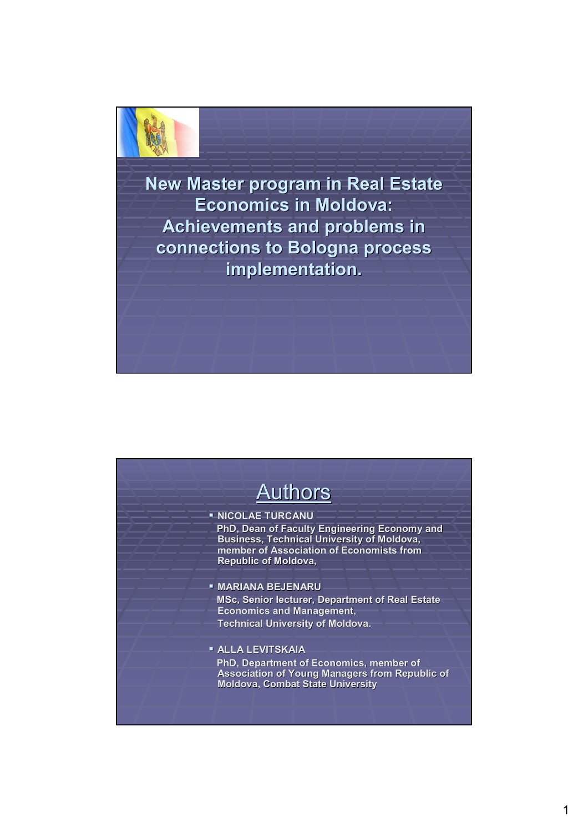

**New Master program in Real Estate Economics in Moldova: Economics in Moldova: Achievements and problems in connections to Bologna process connections to Bologna process implementation. implementation.**

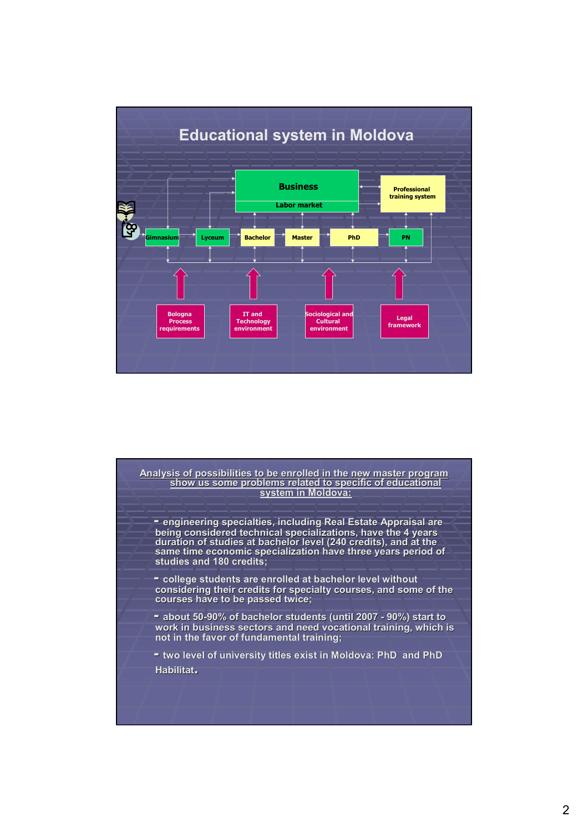

Analysis of possibilities to be enrolled in the new master program show us some problems related to specific of educational **system in Moldova: -** engineering specialties, including Real Estate Appraisal are being considered technical specializations, have the 4 years duration of studies at bachelor level (240 credits), and at the same time economic specialization have three years period of **studies and 180 credits; studies and 180 credits; - college students are enrolled at bachelor level without college students are enrolled at bachelor level without considering their credits for specialty courses, and some of the courses have to be passed twice; be passed -** about 50-90% of bachelor students (until 2007 - 90%) start to work in business sectors and need vocational training, which is **not in the favor of fundamental training; not in the favor of fundamental training; -** two level of university titles exist in Moldova: PhD and PhD **Habilitat.**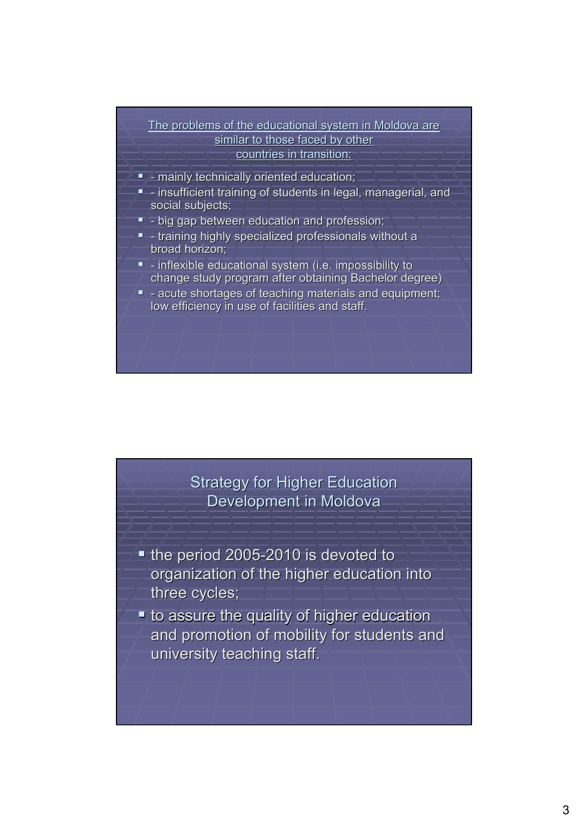#### The problems of the educational system in Moldova are similar to those faced by other countries in transition:

- $-$  mainly technically oriented education;
- insufficient training of students in legal, managerial, and insufficient training of students in legal, managerial, and social subjects;
- $\blacksquare$  big gap between education and profession;
- $-$  training highly specialized professionals without a broad horizon;
- $-$  inflexible educational system (i.e. impossibility to change study program after obtaining Bachelor degree)
- **-** acute shortages of teaching materials and equipment; low efficiency in use of facilities and staff.

## **Strategy for Higher Education** Development in Moldova

- $\blacksquare$  the period 2005-2010 is devoted to organization of the higher education into three cycles;
- $\blacksquare$  to assure the quality of higher education and promotion of mobility for students and university teaching staff.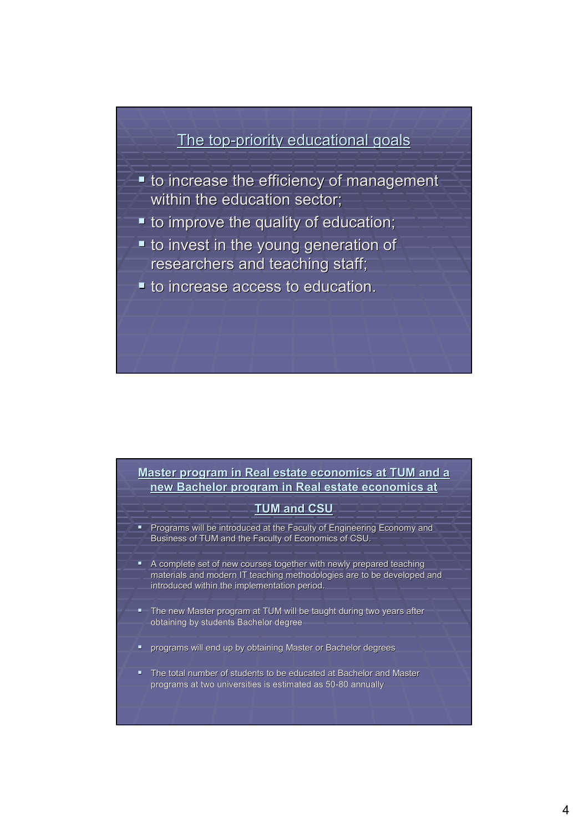## The top-priority educational goals

- $\blacksquare$  to increase the efficiency of management within the education sector;
- $\blacksquare$  to improve the quality of education;
- $\blacksquare$  to invest in the young generation of researchers and teaching staff;
- $\blacksquare$  to increase access to education.

#### **Master program in Real estate economics at TUM and a** new Bachelor program in Real estate economics at

#### **TUM and CSU**

- **Programs will be introduced at the Faculty of Engineering Economy and** Business of TUM and the Faculty of Economics of CSU.
- A complete set of new courses together with newly prepared teaching materials and modern IT teaching methodologies are to be developed and introduced within the implementation period.
- **The new Master program at TUM will be taught during two years after** obtaining by students Bachelor degree
- **P** programs will end up by obtaining Master or Bachelor degrees
- The total number of students to be educated at Bachelor and Master programs at two universities is estimated as 50-80 annually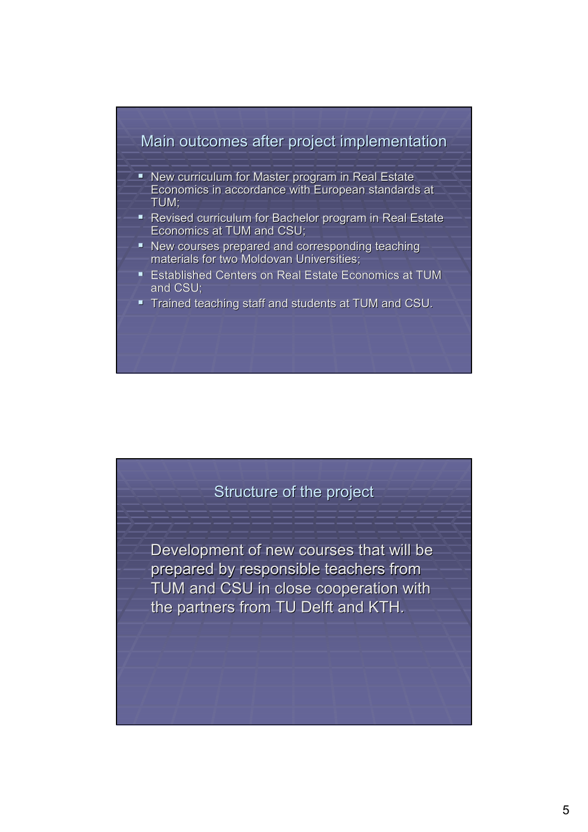

- New curriculum for Master program in Real Estate Economics in accordance with European standards at TUM;
- Revised curriculum for Bachelor program in Real Estate Economics at TUM and CSU;
- New courses prepared and corresponding teaching materials for two Moldovan Universities;
- **Established Centers on Real Estate Economics at TUM** and CSU;
- Trained teaching staff and students at TUM and CSU.

#### Structure of the project

Development of new courses that will be prepared by responsible teachers from TUM and CSU in close cooperation with the partners from TU Delft and KTH.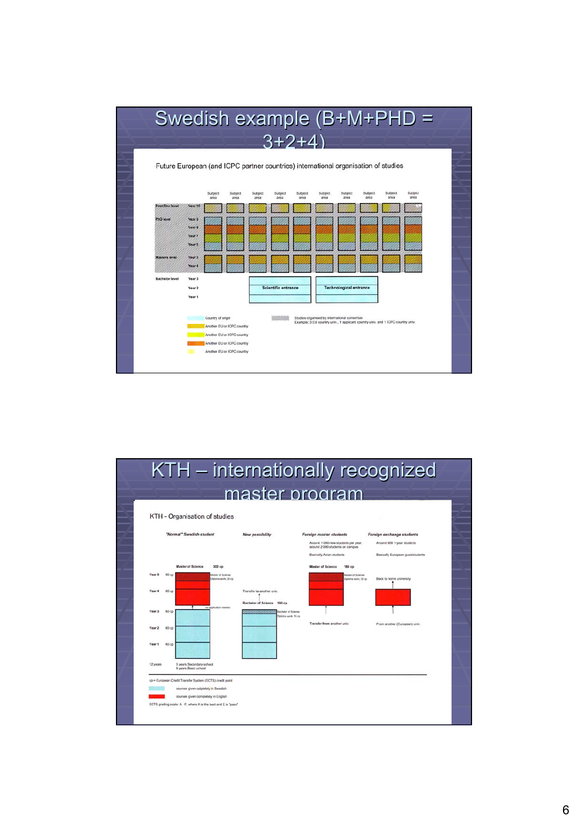

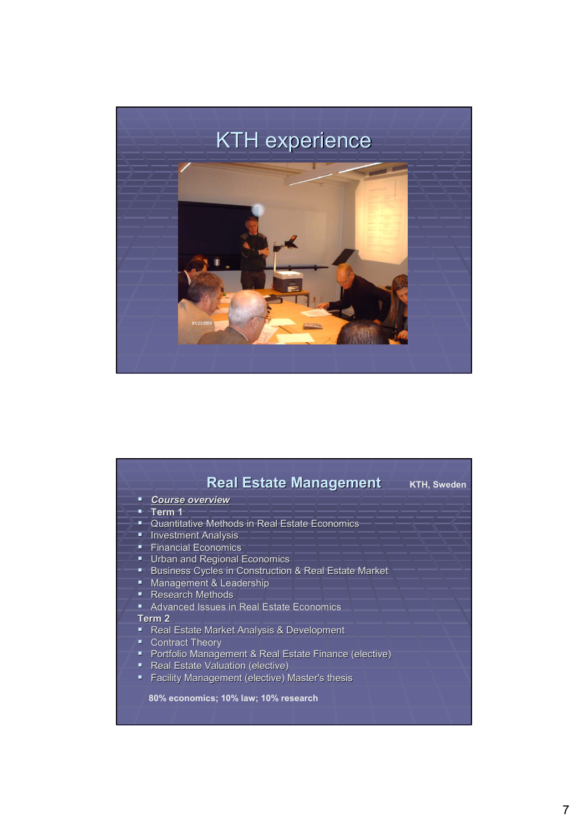

|    | <b>Real Estate Management</b>                                   | <b>KTH, Sweden</b> |
|----|-----------------------------------------------------------------|--------------------|
|    | <b>Course overview</b>                                          |                    |
|    | $-$ Term 1                                                      |                    |
|    | " Quantitative Methods in Real Estate Economics                 |                    |
| π  | <b>Investment Analysis</b>                                      |                    |
| ш  | <b>Financial Economics</b>                                      |                    |
| н, | <b>Urban and Regional Economics</b>                             |                    |
|    | <b>Business Cycles in Construction &amp; Real Estate Market</b> |                    |
| ш  | Management & Leadership                                         |                    |
|    | <b>-</b> Research Methods                                       |                    |
|    | <b>Advanced Issues in Real Estate Economics</b>                 |                    |
|    | Term 2                                                          |                    |
|    | <b>Real Estate Market Analysis &amp; Development</b>            |                    |
| ш  | <b>Contract Theory</b>                                          |                    |
|    | • Portfolio Management & Real Estate Finance (elective)         |                    |
| ш, | <b>Real Estate Valuation (elective)</b>                         |                    |
| ٠  | Facility Management (elective) Master's thesis                  |                    |
|    | 80% economics; 10% law; 10% research                            |                    |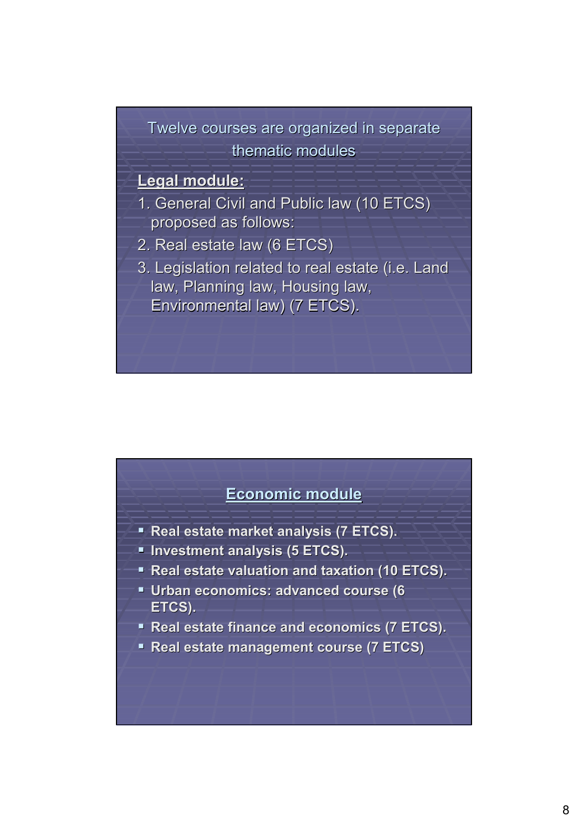# Twelve courses are organized in separate thematic modules

#### **Legal module: Legal module:**

- 1. General Civil and Public law (10 ETCS) proposed as follows:
- 2. Real estate law (6 ETCS) 2. Real estate law (6 ETCS)
- 3. Legislation related to real estate (i.e. Land 3. Legislation related to real estate (i.e. Land law, Planning law, Housing law, Environmental law) (7 ETCS). Environmental law) (7 ETCS).

#### **Economic module Economic module**

- **Real estate market analysis (7 ETCS).**
- **Investment analysis (5 ETCS). Investment analysis (5 ETCS).**
- **Real estate valuation and taxation (10 ETCS).**
- **Urban economics: advanced course (6 ETCS).**
- **Real estate finance and economics (7 ETCS).**
- **Real estate management course (7 ETCS)**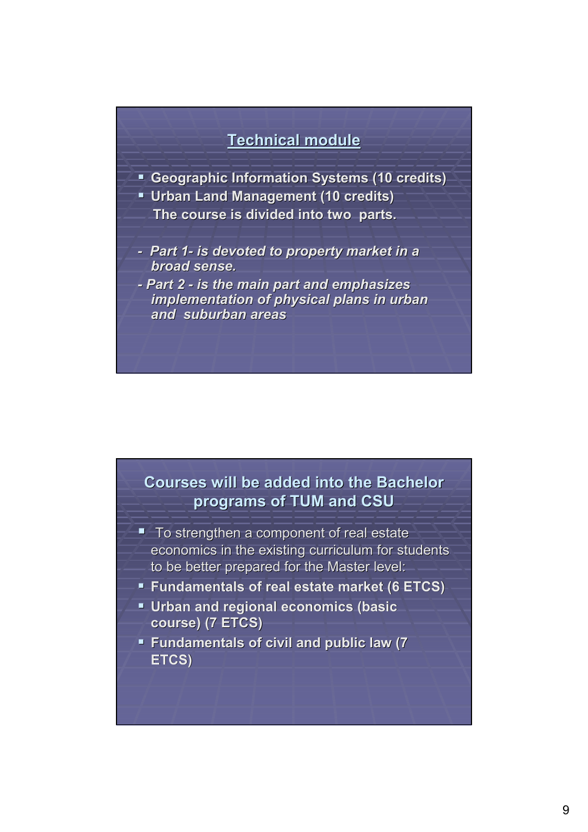## **Technical module Technical module**

- **E** Geographic Information Systems (10 credits)
- **Urban Land Management (10 credits) Urban Land Management (10 credits)**
	- **The course is divided into two parts.**
- *- Part 1- is devoted to property market in a is devoted to property market in a broad sense. broad sense.*
- *- Part 2 - is the main part and emphasizes is the main part and emphasizes implementation of physical plans in urban implementation of physical plans in urban and suburban areas*

## **Courses will be added into the Bachelor Courses will be added into the Bachelor programs of TUM and CSU**

- $\blacksquare$  To strengthen a component of real estate economics in the existing curriculum for students to be better prepared for the Master level:
- **Fundamentals of real estate market (6 ETCS) Fundamentals of real estate market (6 ETCS)**
- **Urban and regional economics (basic course) (7 ETCS) course) (7 ETCS)**
- **Fundamentals of civil and public law (7 Fundamentals of civil and public law (7 ETCS)**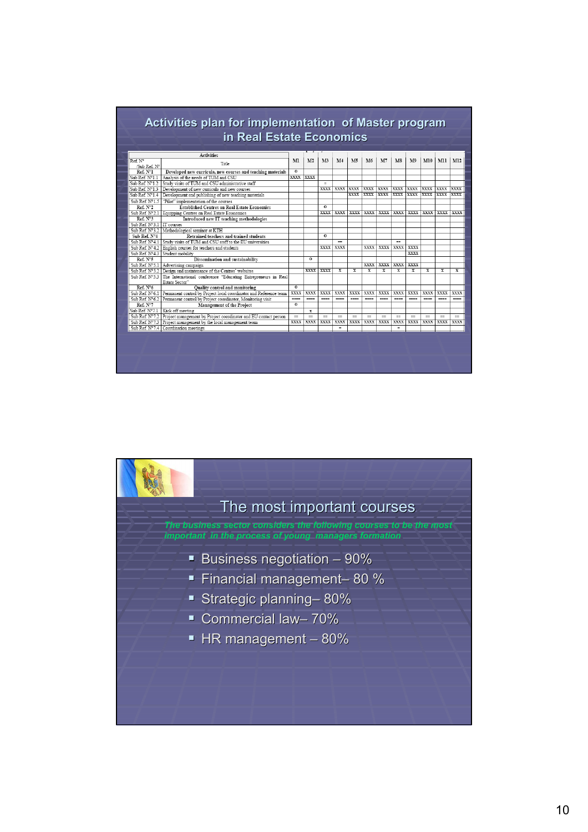|                           | <b>Activities</b>                                                                              |                |                |                |                |             |                |              |                          |                |              |             |             |
|---------------------------|------------------------------------------------------------------------------------------------|----------------|----------------|----------------|----------------|-------------|----------------|--------------|--------------------------|----------------|--------------|-------------|-------------|
| Ref. Nº<br>/Sub Ref. N°   | Title                                                                                          | M              | M <sub>2</sub> | M <sub>3</sub> | M <sub>4</sub> | M5          | M <sub>6</sub> | M7           | M8                       | M <sub>9</sub> | M10          | MII         | M12         |
| Ref. Nº1                  | Developed new curricula, new courses and teaching materials                                    | $\overline{0}$ |                |                |                |             |                |              |                          |                |              |             |             |
| Sub Ref. Nº1.1            | Analysis of the needs of TUM and CSU                                                           | <b>XXXX</b>    | <b>XXXX</b>    |                |                |             |                |              |                          |                |              |             |             |
| Sub Ref. Nº1.2            | Study visits of TUM and CSU administrative staff                                               |                |                | $\equiv$       |                |             |                |              |                          |                |              |             |             |
|                           | Sub Ref. N°1.3 Development of new curricula and new courses                                    |                |                | <b>XXXX</b>    | <b>XXXX</b>    | XXXX        | <b>XXXX</b>    | XXXX         | <b>XXXX</b>              | <b>XXXX</b>    | <b>XXXX</b>  | <b>XXXX</b> | XXXX        |
| Sub Ref. N°1.4            | Development and publishing of new teaching materials                                           |                |                |                |                | <b>XXXX</b> | <b>XXXX</b>    | <b>XXXX</b>  | <b>XXXX</b>              | <b>XXXX</b>    | <b>XXXX</b>  | <b>XXXX</b> | <b>XXXX</b> |
| Sub Ref. Nº1.5            | "Pilot" implementation of the courses                                                          |                |                |                |                |             |                |              |                          |                |              |             |             |
| Ref. N°2                  | <b>Established Centres on Real Estate Economics</b>                                            |                |                | $\Omega$       |                |             |                |              |                          |                |              |             |             |
|                           | Sub Ref. N°2.1 Equipping Centres on Real Estate Economics                                      |                |                | <b>XXXX</b>    | <b>XXXX</b>    | XXXX        | XXXX           | XXXX         | XXXX                     | <b>XXXX</b>    | XXXX         | XXXX        | XXXX        |
| Ref. N°3                  | Introduced new IT teaching methodologies                                                       |                |                |                |                |             |                |              |                          |                |              |             |             |
| Sub Ref. N°3.1 IT courses |                                                                                                |                |                |                |                |             |                |              |                          |                |              |             |             |
|                           | Sub Ref. N°3.2   Methodological seminar at KTH                                                 |                |                |                |                |             |                |              |                          |                |              |             |             |
| Sub Ref. N°4              | Retrained teachers and trained students                                                        |                |                | $\overline{0}$ |                |             |                |              |                          |                |              |             |             |
|                           | Sub Ref. Nº4.1 Study visits of TUM and CSU staff to the EU universities                        |                |                |                | <b>STATE</b>   |             |                |              | <b>COL</b>               |                |              |             |             |
|                           | Sub Ref. Nº4.2   English courses for teachers and students                                     |                |                | XXXX           | XXXX           |             | <b>XXXX</b>    | XXXX         | <b>XXXX</b>              | XXXX           |              |             |             |
|                           | Sub Ref. N°43 Student mobility                                                                 |                |                |                |                |             |                |              |                          | XXXX           |              |             |             |
| Ref. N°5                  | Dissemination and sustainability                                                               |                | $\mathbf{o}$   |                |                |             |                |              |                          |                |              |             |             |
|                           | Sub Ref. N°5.1 Advertising campaign                                                            |                |                |                |                |             | <b>XXXX</b>    | XXXX         | <b>XXXX</b>              | <b>XXXX</b>    |              |             |             |
|                           | Sub Ref. N°5.2 Design and maintenance of the Centres' websites                                 |                | XXXX           | <b>XXXX</b>    | X              | X           | X              | X            | x                        | X              | X            | X           | x           |
|                           | Sub Ref. N°5.3 The International conference "Educating Entrepreneurs in Real<br>Estate Sector" |                |                |                |                |             |                |              |                          |                |              |             |             |
| Ref. N <sup>°</sup> 6     | Quality control and monitoring                                                                 | $\overline{0}$ |                |                |                |             |                |              |                          |                |              |             |             |
|                           | Sub Ref. N°6.1 Permanent control by Project local coordinator and Reference team               | <b>XXXX</b>    | <b>XXXX</b>    | <b>XXXX</b>    | <b>XXXX</b>    | XXXX        | XXXX           | <b>XXXX</b>  | <b>XXXX</b>              | <b>XXXX</b>    | <b>XXXX</b>  | <b>XXXX</b> | XXXX        |
|                           | Sub Ref. N°6.2 Permanent control by Project coordinator. Monitoring visit                      | ----           | $-$            | ----           | $-$            | <b>HERE</b> | <b>HERE'S</b>  | <b>HOLLA</b> | ----                     | <b>HOLLAND</b> | <b>House</b> | ----        | <b>Home</b> |
| Ref. N°7                  | Management of the Project                                                                      | $\overline{0}$ |                |                |                |             |                |              |                          |                |              |             |             |
|                           | Sub Ref. N°7.1 Kick off meeting                                                                |                | $\mathbf{x}$   |                |                |             |                |              |                          |                |              |             |             |
|                           | Sub Ref. N°7.2 Project management by Project coordinator and EU contact person                 | $==$           | $=$            | $=$            | $=$            | $=$         | $=$            | $==$         | $\overline{\phantom{a}}$ | $=$            | $=$          | $\equiv$    | $==$        |
|                           | Sub Ref. N°7.3 Project management by the local management team                                 | XXXX           | XXXX           | XXXX           | XXXX           | XXXX        | XXXX           | XXXX         | XXXX                     | XXXX           | XXXX         | XXXX XXXX   |             |
|                           | Sub Ref. N°7.4 Coordination meetings                                                           |                |                |                | ٠              |             |                |              | ٠                        |                |              |             |             |

# The most important courses Business negotiation  $-90\%$ Financial management- 80 % **Strategic planning– 80%** ■ Commercial law- 70%  $\blacksquare$  HR management – 80% *The business sector considers the following courses to be the most The business sec*<br>*important in the*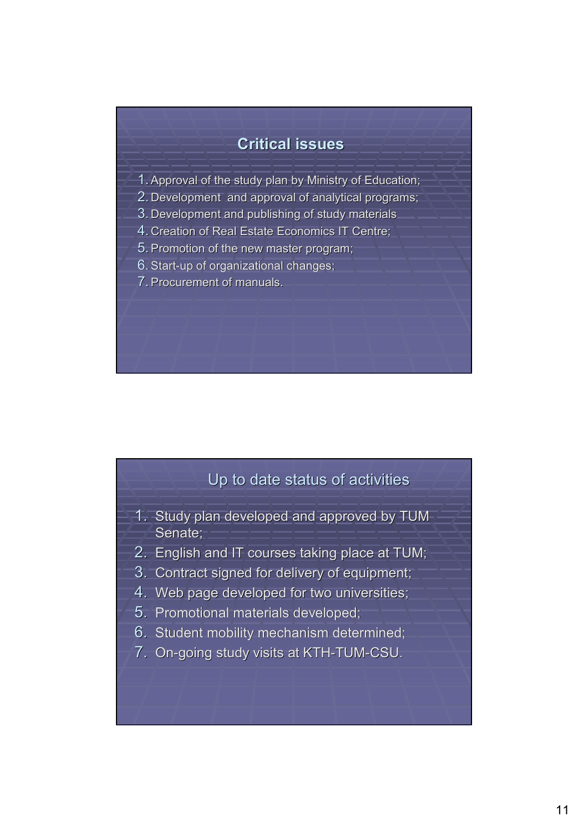### **Critical issues Critical issues**

- 1. Approval of the study plan by Ministry of Education;
- 2. Development and approval of analytical programs;
- 3. Development and publishing of study materials
- 4. Creation of Real Estate Economics IT Centre;
- 5. Promotion of the new master program;
- $6.$  Start-up of organizational changes;
- 7. Procurement of manuals.

# Up to date status of activities

- 1. Study plan developed and approved by TUM Senate;
- 2. English and IT courses taking place at TUM;
- 3. Contract signed for delivery of equipment;
- 4. Web page developed for two universities;
- 5. Promotional materials developed;
- 6. Student mobility mechanism determined;
- 7. On-going study visits at KTH-TUM-CSU.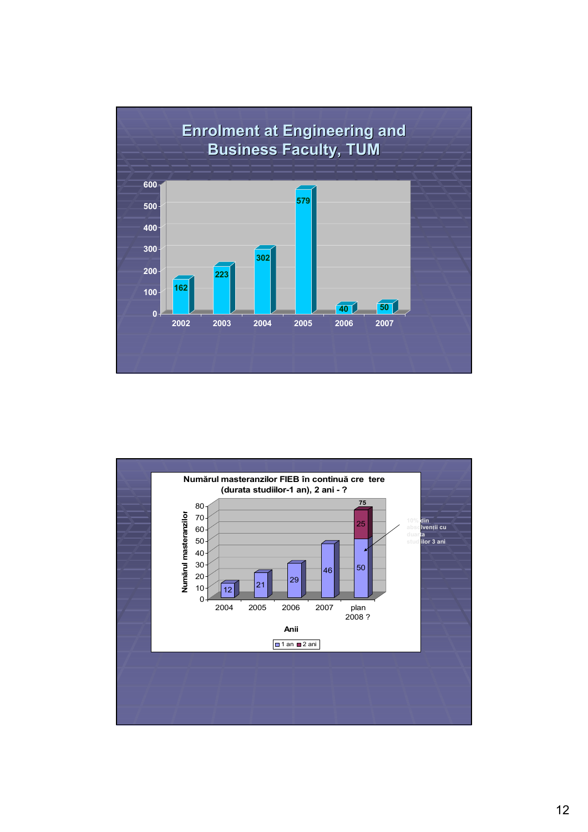